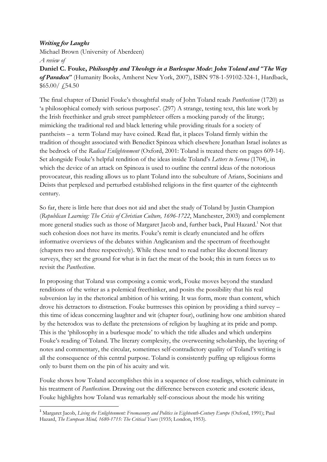## Writing for Laughs

Michael Brown (University of Aberdeen)

A review of

 $\overline{a}$ 

Daniel C. Fouke, Philosophy and Theology in a Burlesque Mode: John Toland and "The Way of Paradox" (Humanity Books, Amherst New York, 2007), ISBN 978-1-59102-324-1, Hardback, \$65.00/ £54.50

The final chapter of Daniel Fouke's thoughtful study of John Toland reads Panthesticon (1720) as 'a philosophical comedy with serious purposes'. (297) A strange, testing text, this late work by the Irish freethinker and grub street pamphleteer offers a mocking parody of the liturgy; mimicking the traditional red and black lettering while providing rituals for a society of pantheists – a term Toland may have coined. Read flat, it places Toland firmly within the tradition of thought associated with Benedict Spinoza which elsewhere Jonathan Israel isolates as the bedrock of the Radical Enlightenment (Oxford, 2001: Toland is treated there on pages 609-14). Set alongside Fouke's helpful rendition of the ideas inside Toland's Letters to Serena (1704), in which the device of an attack on Spinoza is used to outline the central ideas of the notorious provocateur, this reading allows us to plant Toland into the subculture of Arians, Socinians and Deists that perplexed and perturbed established religions in the first quarter of the eighteenth century.

So far, there is little here that does not aid and abet the study of Toland by Justin Champion (Republican Learning: The Crisis of Christian Culture, 1696-1722, Manchester, 2003) and complement more general studies such as those of Margaret Jacob and, further back, Paul Hazard.<sup>1</sup> Not that such cohesion does not have its merits. Fouke's remit is clearly enunciated and he offers informative overviews of the debates within Anglicanism and the spectrum of freethought (chapters two and three respectively). While these tend to read rather like doctoral literary surveys, they set the ground for what is in fact the meat of the book; this in turn forces us to revisit the Panthesticon.

In proposing that Toland was composing a comic work, Fouke moves beyond the standard renditions of the writer as a polemical freethinker, and posits the possibility that his real subversion lay in the rhetorical ambition of his writing. It was form, more than content, which drove his detractors to distraction. Fouke buttresses this opinion by providing a third survey – this time of ideas concerning laughter and wit (chapter four), outlining how one ambition shared by the heterodox was to deflate the pretensions of religion by laughing at its pride and pomp. This is the 'philosophy in a burlesque mode' to which the title alludes and which underpins Fouke's reading of Toland. The literary complexity, the overweening scholarship, the layering of notes and commentary, the circular, sometimes self-contradictory quality of Toland's writing is all the consequence of this central purpose. Toland is consistently puffing up religious forms only to burst them on the pin of his acuity and wit.

Fouke shows how Toland accomplishes this in a sequence of close readings, which culminate in his treatment of Panthesticon. Drawing out the difference between exoteric and esoteric ideas, Fouke highlights how Toland was remarkably self-conscious about the mode his writing

<sup>&</sup>lt;sup>1</sup> Margaret Jacob, Living the Enlightenment: Freemasonry and Politics in Eighteenth-Century Europe (Oxford, 1991); Paul Hazard, The European Mind, 1680-1715: The Critical Years (1935; London, 1953).